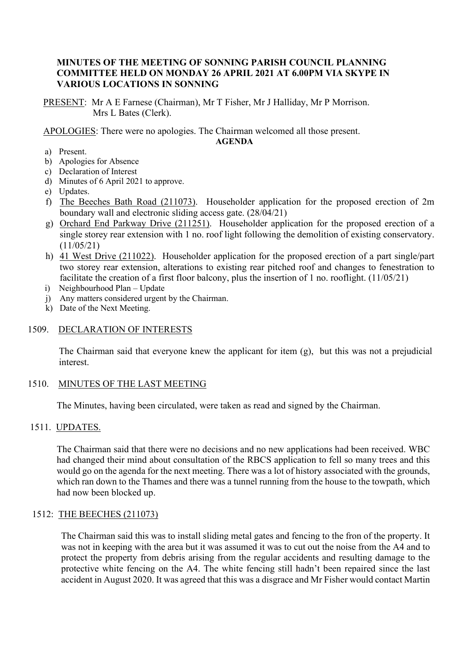## **MINUTES OF THE MEETING OF SONNING PARISH COUNCIL PLANNING COMMITTEE HELD ON MONDAY 26 APRIL 2021 AT 6.00PM VIA SKYPE IN VARIOUS LOCATIONS IN SONNING**

PRESENT: Mr A E Farnese (Chairman), Mr T Fisher, Mr J Halliday, Mr P Morrison. Mrs L Bates (Clerk).

APOLOGIES: There were no apologies. The Chairman welcomed all those present.

#### **AGENDA**

- a) Present.
- b) Apologies for Absence
- c) Declaration of Interest
- d) Minutes of 6 April 2021 to approve.
- e) Updates.
- f) The Beeches Bath Road (211073). Householder application for the proposed erection of 2m boundary wall and electronic sliding access gate. (28/04/21)
- g) Orchard End Parkway Drive (211251). Householder application for the proposed erection of a single storey rear extension with 1 no. roof light following the demolition of existing conservatory. (11/05/21)
- h) 41 West Drive (211022). Householder application for the proposed erection of a part single/part two storey rear extension, alterations to existing rear pitched roof and changes to fenestration to facilitate the creation of a first floor balcony, plus the insertion of 1 no. rooflight. (11/05/21)
- i) Neighbourhood Plan Update
- j) Any matters considered urgent by the Chairman.
- k) Date of the Next Meeting.

# 1509. DECLARATION OF INTERESTS

The Chairman said that everyone knew the applicant for item (g), but this was not a prejudicial interest.

# 1510. MINUTES OF THE LAST MEETING

The Minutes, having been circulated, were taken as read and signed by the Chairman.

# 1511. UPDATES.

The Chairman said that there were no decisions and no new applications had been received. WBC had changed their mind about consultation of the RBCS application to fell so many trees and this would go on the agenda for the next meeting. There was a lot of history associated with the grounds, which ran down to the Thames and there was a tunnel running from the house to the towpath, which had now been blocked up.

# 1512: THE BEECHES (211073)

The Chairman said this was to install sliding metal gates and fencing to the fron of the property. It was not in keeping with the area but it was assumed it was to cut out the noise from the A4 and to protect the property from debris arising from the regular accidents and resulting damage to the protective white fencing on the A4. The white fencing still hadn't been repaired since the last accident in August 2020. It was agreed that this was a disgrace and Mr Fisher would contact Martin